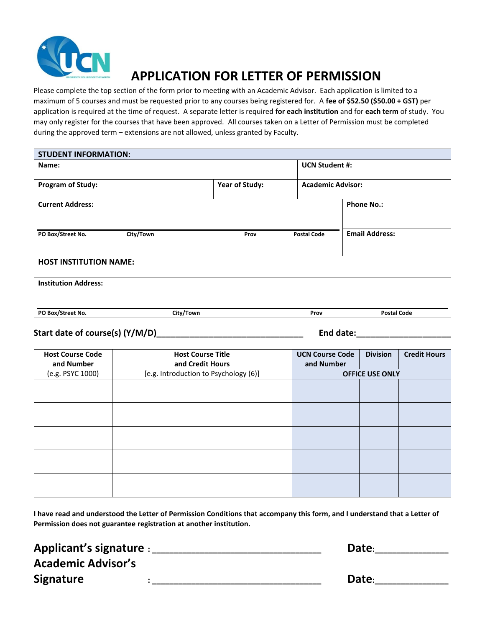

# **APPLICATION FOR LETTER OF PERMISSION**

Please complete the top section of the form prior to meeting with an Academic Advisor. Each application is limited to a maximum of 5 courses and must be requested prior to any courses being registered for. A **fee of \$52.50 (\$50.00 + GST)** per application is required at the time of request. A separate letter is required **for each institution** and for **each term** of study. You may only register for the courses that have been approved. All courses taken on a Letter of Permission must be completed during the approved term – extensions are not allowed, unless granted by Faculty.

| <b>STUDENT INFORMATION:</b>   |           |                |                          |                       |  |  |
|-------------------------------|-----------|----------------|--------------------------|-----------------------|--|--|
| Name:                         |           |                | <b>UCN Student #:</b>    |                       |  |  |
| <b>Program of Study:</b>      |           | Year of Study: | <b>Academic Advisor:</b> |                       |  |  |
| <b>Current Address:</b>       |           |                |                          | <b>Phone No.:</b>     |  |  |
| PO Box/Street No.             | City/Town | Prov           | <b>Postal Code</b>       | <b>Email Address:</b> |  |  |
| <b>HOST INSTITUTION NAME:</b> |           |                |                          |                       |  |  |
| <b>Institution Address:</b>   |           |                |                          |                       |  |  |
| PO Box/Street No.             | City/Town |                | Prov                     | <b>Postal Code</b>    |  |  |

### **Start date of course(s) (Y/M/D)\_\_\_\_\_\_\_\_\_\_\_\_\_\_\_\_\_\_\_\_\_\_\_\_\_\_\_\_\_\_\_ End date:\_\_\_\_\_\_\_\_\_\_\_\_\_\_\_\_\_\_\_\_**

| <b>Host Course Code</b><br>and Number | <b>Host Course Title</b><br>and Credit Hours | <b>UCN Course Code</b><br>and Number | <b>Division</b> | <b>Credit Hours</b> |
|---------------------------------------|----------------------------------------------|--------------------------------------|-----------------|---------------------|
| (e.g. PSYC 1000)                      | [e.g. Introduction to Psychology (6)]        | <b>OFFICE USE ONLY</b>               |                 |                     |
|                                       |                                              |                                      |                 |                     |
|                                       |                                              |                                      |                 |                     |
|                                       |                                              |                                      |                 |                     |
|                                       |                                              |                                      |                 |                     |
|                                       |                                              |                                      |                 |                     |
|                                       |                                              |                                      |                 |                     |
|                                       |                                              |                                      |                 |                     |
|                                       |                                              |                                      |                 |                     |
|                                       |                                              |                                      |                 |                     |
|                                       |                                              |                                      |                 |                     |

**I have read and understood the Letter of Permission Conditions that accompany this form, and I understand that a Letter of Permission does not guarantee registration at another institution.**

### **Applicant's signature : \_\_\_\_\_\_\_\_\_\_\_\_\_\_\_\_\_\_\_\_\_\_\_\_\_\_\_\_\_\_\_\_\_\_\_\_\_\_\_ Date:\_\_\_\_\_\_\_\_\_\_\_\_\_\_\_\_\_ Academic Advisor's Signature 1.1 and 1.1 and 1.1 and 1.1 and 1.1 and 1.1 and 1.1 and 1.1 and 1.1 and 1.1 and 1.1 and 1.1 and 1.1 and 1.1 and 1.1 and 1.1 and 1.1 and 1.1 and 1.1 and 1.1 and 1.1 and 1.1 and 1.1 and 1.1 and 1.1 and 1.1 and 1**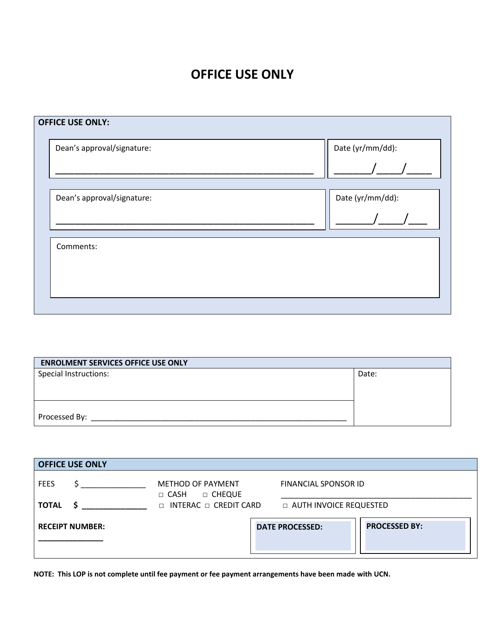## **OFFICE USE ONLY**

| Dean's approval/signature: | Date (yr/mm/dd): |
|----------------------------|------------------|
|                            |                  |
| Dean's approval/signature: | Date (yr/mm/dd): |
|                            |                  |
| Comments:                  |                  |
|                            |                  |
|                            |                  |

| <b>ENROLMENT SERVICES OFFICE USE ONLY</b> |       |  |  |  |
|-------------------------------------------|-------|--|--|--|
| Special Instructions:                     | Date: |  |  |  |
|                                           |       |  |  |  |
|                                           |       |  |  |  |
|                                           |       |  |  |  |
| Processed By:                             |       |  |  |  |

| <b>OFFICE USE ONLY</b> |                                                                                                                                                                                                                                                                                                  |                                                             |                          |                        |                      |  |
|------------------------|--------------------------------------------------------------------------------------------------------------------------------------------------------------------------------------------------------------------------------------------------------------------------------------------------|-------------------------------------------------------------|--------------------------|------------------------|----------------------|--|
| <b>FEES</b>            |                                                                                                                                                                                                                                                                                                  | <b>METHOD OF PAYMENT</b><br>$\square$ cheque<br>$\Box$ CASH |                          | FINANCIAL SPONSOR ID   |                      |  |
| <b>TOTAL</b>           | $\mathsf{S}$ and $\mathsf{S}$ and $\mathsf{S}$ and $\mathsf{S}$ and $\mathsf{S}$ and $\mathsf{S}$ and $\mathsf{S}$ and $\mathsf{S}$ and $\mathsf{S}$ and $\mathsf{S}$ and $\mathsf{S}$ and $\mathsf{S}$ and $\mathsf{S}$ and $\mathsf{S}$ and $\mathsf{S}$ and $\mathsf{S}$ and $\mathsf{S}$ and | □ INTERAC □ CREDIT CARD                                     | □ AUTH INVOICE REQUESTED |                        |                      |  |
| <b>RECEIPT NUMBER:</b> |                                                                                                                                                                                                                                                                                                  |                                                             |                          | <b>DATE PROCESSED:</b> | <b>PROCESSED BY:</b> |  |

**NOTE: This LOP is not complete until fee payment or fee payment arrangements have been made with UCN.**